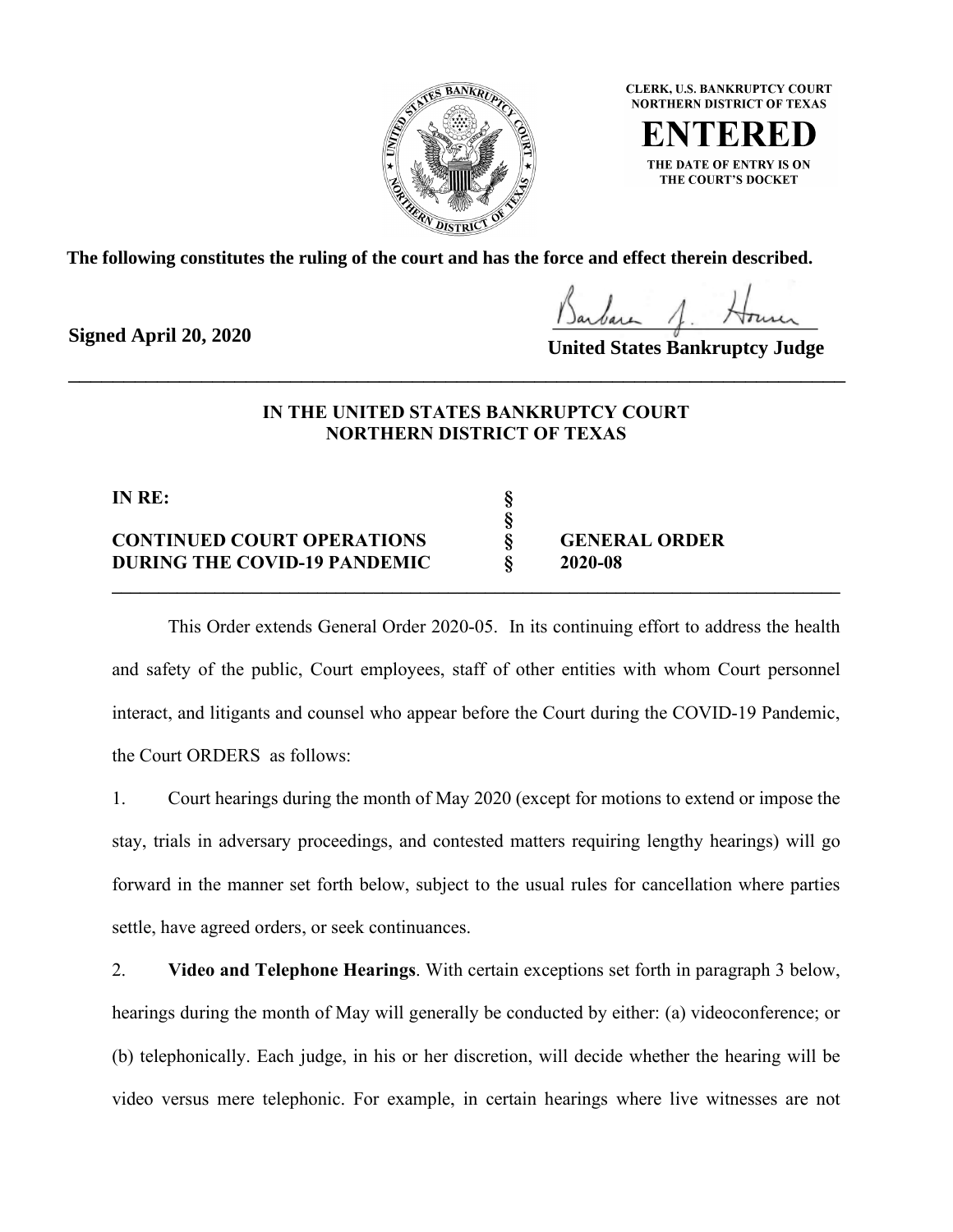

**CLERK, U.S. BANKRUPTCY COURT NORTHERN DISTRICT OF TEXAS** 

THE COURT'S DOCKET

**The following constitutes the ruling of the court and has the force and effect therein described.**

**Signed April 20, 2020**

**United States Bankruptcy Judge**

## **IN THE UNITED STATES BANKRUPTCY COURT NORTHERN DISTRICT OF TEXAS**

\_\_\_\_\_\_\_\_\_\_\_\_\_\_\_\_\_\_\_\_\_\_\_\_\_\_\_\_\_\_\_\_\_\_\_\_\_\_\_\_\_\_\_\_\_\_\_\_\_\_\_\_\_\_\_\_\_\_\_\_\_\_\_\_\_\_\_\_\_\_

**§**

**IN RE: §**

## **CONTINUED COURT OPERATIONS § GENERAL ORDER DURING THE COVID-19 PANDEMIC § 2020-08**

This Order extends General Order 2020-05. In its continuing effort to address the health and safety of the public, Court employees, staff of other entities with whom Court personnel interact, and litigants and counsel who appear before the Court during the COVID-19 Pandemic, the Court ORDERS as follows:

**\_\_\_\_\_\_\_\_\_\_\_\_\_\_\_\_\_\_\_\_\_\_\_\_\_\_\_\_\_\_\_\_\_\_\_\_\_\_\_\_\_\_\_\_\_\_\_\_\_\_\_\_\_\_\_\_\_\_\_\_\_\_\_\_\_\_\_\_\_\_\_\_\_\_\_\_\_\_**

1. Court hearings during the month of May 2020 (except for motions to extend or impose the stay, trials in adversary proceedings, and contested matters requiring lengthy hearings) will go forward in the manner set forth below, subject to the usual rules for cancellation where parties settle, have agreed orders, or seek continuances.

2. **Video and Telephone Hearings**. With certain exceptions set forth in paragraph 3 below, hearings during the month of May will generally be conducted by either: (a) videoconference; or (b) telephonically. Each judge, in his or her discretion, will decide whether the hearing will be video versus mere telephonic. For example, in certain hearings where live witnesses are not